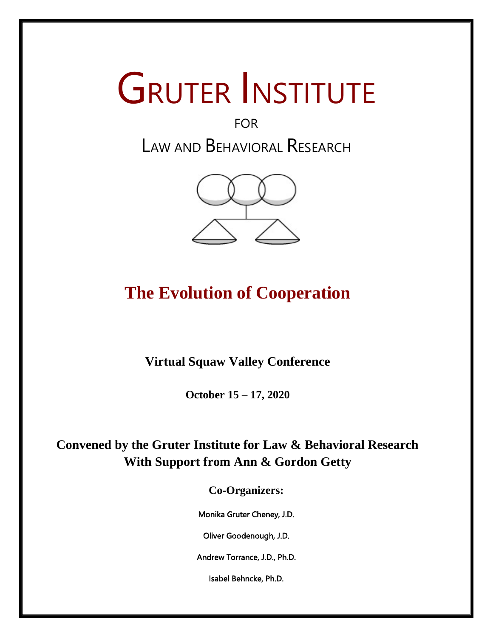# **GRUTER INSTITUTE**

# FOR LAW AND BEHAVIORAL RESEARCH



# **The Evolution of Cooperation**

**Virtual Squaw Valley Conference**

**October 15 – 17, 2020**

**Convened by the Gruter Institute for Law & Behavioral Research With Support from Ann & Gordon Getty**

**Co-Organizers:**

Monika Gruter Cheney, J.D.

Oliver Goodenough, J.D.

Andrew Torrance, J.D., Ph.D.

Isabel Behncke, Ph.D.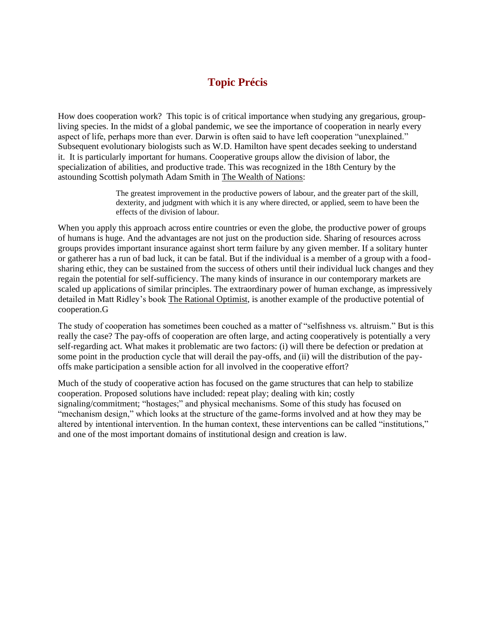# **Topic Précis**

How does cooperation work? This topic is of critical importance when studying any gregarious, groupliving species. In the midst of a global pandemic, we see the importance of cooperation in nearly every aspect of life, perhaps more than ever. Darwin is often said to have left cooperation "unexplained." Subsequent evolutionary biologists such as W.D. Hamilton have spent decades seeking to understand it. It is particularly important for humans. Cooperative groups allow the division of labor, the specialization of abilities, and productive trade. This was recognized in the 18th Century by the astounding Scottish polymath Adam Smith in The Wealth of Nations:

> The greatest improvement in the productive powers of labour, and the greater part of the skill, dexterity, and judgment with which it is any where directed, or applied, seem to have been the effects of the division of labour.

When you apply this approach across entire countries or even the globe, the productive power of groups of humans is huge. And the advantages are not just on the production side. Sharing of resources across groups provides important insurance against short term failure by any given member. If a solitary hunter or gatherer has a run of bad luck, it can be fatal. But if the individual is a member of a group with a foodsharing ethic, they can be sustained from the success of others until their individual luck changes and they regain the potential for self-sufficiency. The many kinds of insurance in our contemporary markets are scaled up applications of similar principles. The extraordinary power of human exchange, as impressively detailed in Matt Ridley's book The Rational Optimist, is another example of the productive potential of cooperation.G

The study of cooperation has sometimes been couched as a matter of "selfishness vs. altruism." But is this really the case? The pay-offs of cooperation are often large, and acting cooperatively is potentially a very self-regarding act. What makes it problematic are two factors: (i) will there be defection or predation at some point in the production cycle that will derail the pay-offs, and (ii) will the distribution of the payoffs make participation a sensible action for all involved in the cooperative effort?

Much of the study of cooperative action has focused on the game structures that can help to stabilize cooperation. Proposed solutions have included: repeat play; dealing with kin; costly signaling/commitment; "hostages;" and physical mechanisms. Some of this study has focused on "mechanism design," which looks at the structure of the game-forms involved and at how they may be altered by intentional intervention. In the human context, these interventions can be called "institutions," and one of the most important domains of institutional design and creation is law.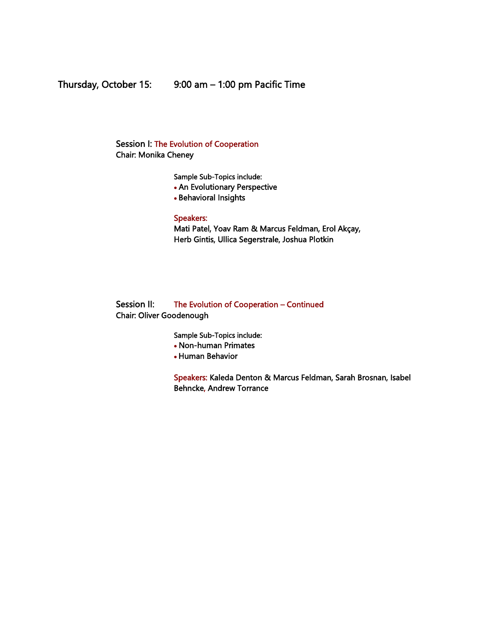Session I: The Evolution of Cooperation Chair: Monika Cheney

Sample Sub-Topics include:

- An Evolutionary Perspective
- Behavioral Insights

Speakers:

Mati Patel, Yoav Ram & Marcus Feldman, Erol Akçay, Herb Gintis, Ullica Segerstrale, Joshua Plotkin

## Session II: The Evolution of Cooperation – Continued Chair: Oliver Goodenough

Sample Sub-Topics include:

- Non-human Primates
- Human Behavior

Speakers: Kaleda Denton & Marcus Feldman, Sarah Brosnan, Isabel Behncke, Andrew Torrance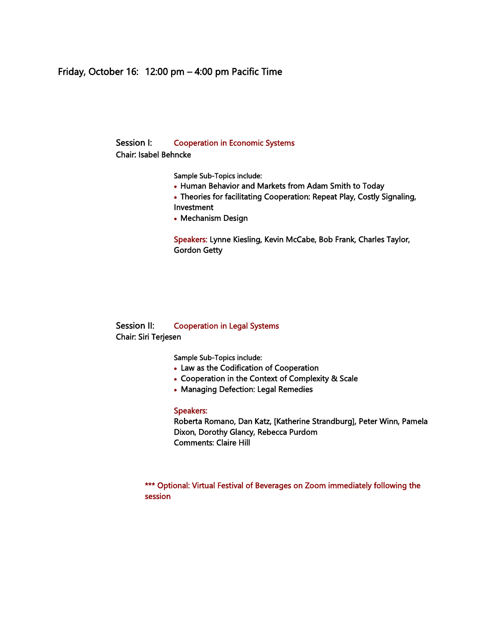# Friday, October 16: 12:00 pm – 4:00 pm Pacific Time

# Session I: Cooperation in Economic Systems

Chair: Isabel Behncke

Sample Sub-Topics include:

- Human Behavior and Markets from Adam Smith to Today
- Theories for facilitating Cooperation: Repeat Play, Costly Signaling, Investment
- Mechanism Design

Speakers: Lynne Kiesling, Kevin McCabe, Bob Frank, Charles Taylor, Gordon Getty

### Session II: Cooperation in Legal Systems Chair: Siri Terjesen

Sample Sub-Topics include:

- Law as the Codification of Cooperation
- Cooperation in the Context of Complexity & Scale
- Managing Defection: Legal Remedies

#### Speakers:

Roberta Romano, Dan Katz, [Katherine Strandburg], Peter Winn, Pamela Dixon, Dorothy Glancy, Rebecca Purdom Comments: Claire Hill

\*\*\* Optional: Virtual Festival of Beverages on Zoom immediately following the session